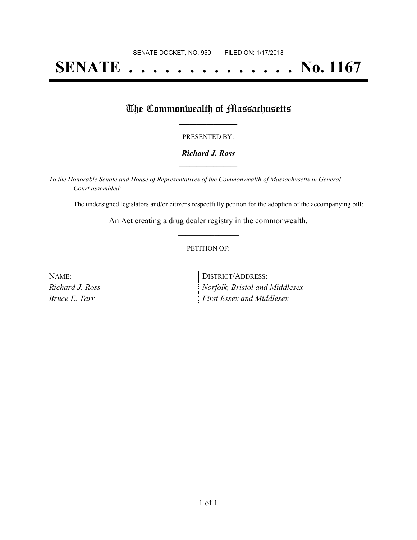# **SENATE . . . . . . . . . . . . . . No. 1167**

## The Commonwealth of Massachusetts

#### PRESENTED BY:

#### *Richard J. Ross* **\_\_\_\_\_\_\_\_\_\_\_\_\_\_\_\_\_**

*To the Honorable Senate and House of Representatives of the Commonwealth of Massachusetts in General Court assembled:*

The undersigned legislators and/or citizens respectfully petition for the adoption of the accompanying bill:

An Act creating a drug dealer registry in the commonwealth. **\_\_\_\_\_\_\_\_\_\_\_\_\_\_\_**

#### PETITION OF:

| NAME                 | DISTRICT/ADDRESS:                |
|----------------------|----------------------------------|
| Richard J. Ross      | Norfolk, Bristol and Middlesex   |
| <i>Bruce E. Tarr</i> | <i>First Essex and Middlesex</i> |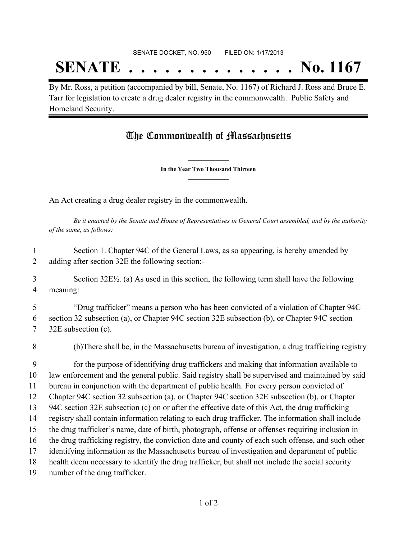## **SENATE . . . . . . . . . . . . . . No. 1167**

By Mr. Ross, a petition (accompanied by bill, Senate, No. 1167) of Richard J. Ross and Bruce E. Tarr for legislation to create a drug dealer registry in the commonwealth. Public Safety and Homeland Security.

### The Commonwealth of Massachusetts

**\_\_\_\_\_\_\_\_\_\_\_\_\_\_\_ In the Year Two Thousand Thirteen \_\_\_\_\_\_\_\_\_\_\_\_\_\_\_**

An Act creating a drug dealer registry in the commonwealth.

Be it enacted by the Senate and House of Representatives in General Court assembled, and by the authority *of the same, as follows:*

 Section 1. Chapter 94C of the General Laws, as so appearing, is hereby amended by adding after section 32E the following section:-

 Section 32E½. (a) As used in this section, the following term shall have the following meaning:

 "Drug trafficker" means a person who has been convicted of a violation of Chapter 94C section 32 subsection (a), or Chapter 94C section 32E subsection (b), or Chapter 94C section 32E subsection (c).

(b)There shall be, in the Massachusetts bureau of investigation, a drug trafficking registry

 for the purpose of identifying drug traffickers and making that information available to law enforcement and the general public. Said registry shall be supervised and maintained by said bureau in conjunction with the department of public health. For every person convicted of Chapter 94C section 32 subsection (a), or Chapter 94C section 32E subsection (b), or Chapter 94C section 32E subsection (c) on or after the effective date of this Act, the drug trafficking registry shall contain information relating to each drug trafficker. The information shall include the drug trafficker's name, date of birth, photograph, offense or offenses requiring inclusion in the drug trafficking registry, the conviction date and county of each such offense, and such other identifying information as the Massachusetts bureau of investigation and department of public health deem necessary to identify the drug trafficker, but shall not include the social security number of the drug trafficker.